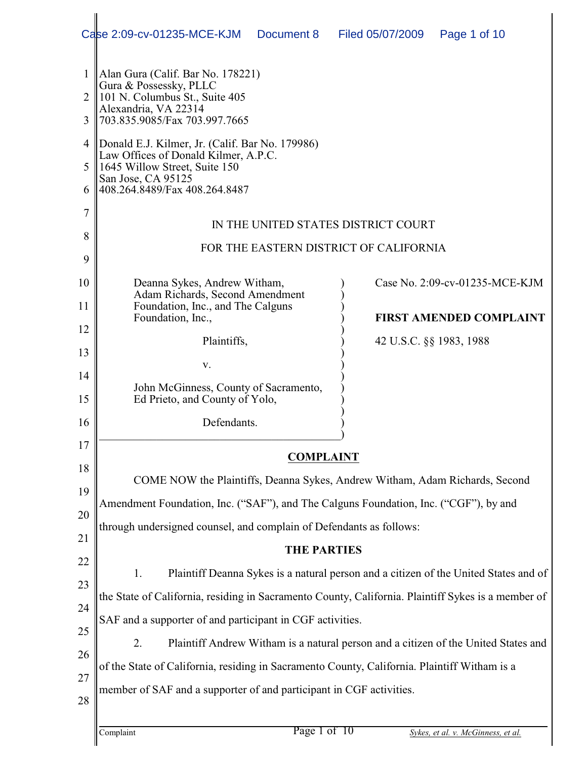|                                                                      | Case 2:09-cv-01235-MCE-KJM<br>Document 8                                                                                                                                                                                                                                                                                                                                                                                                                                                                                                                                                                                                                                                                                                                                                                                                              | Filed 05/07/2009        | Page 1 of 10                                                     |
|----------------------------------------------------------------------|-------------------------------------------------------------------------------------------------------------------------------------------------------------------------------------------------------------------------------------------------------------------------------------------------------------------------------------------------------------------------------------------------------------------------------------------------------------------------------------------------------------------------------------------------------------------------------------------------------------------------------------------------------------------------------------------------------------------------------------------------------------------------------------------------------------------------------------------------------|-------------------------|------------------------------------------------------------------|
| 1<br>2<br>3<br>4<br>5<br>6<br>7<br>8<br>9                            | Alan Gura (Calif. Bar No. 178221)<br>Gura & Possessky, PLLC<br>101 N. Columbus St., Suite 405<br>Alexandria, VA 22314<br>703.835.9085/Fax 703.997.7665<br>Donald E.J. Kilmer, Jr. (Calif. Bar No. 179986)<br>Law Offices of Donald Kilmer, A.P.C.<br>1645 Willow Street, Suite 150<br>San Jose, CA 95125<br>408.264.8489/Fax 408.264.8487<br>IN THE UNITED STATES DISTRICT COURT<br>FOR THE EASTERN DISTRICT OF CALIFORNIA                                                                                                                                                                                                                                                                                                                                                                                                                            |                         |                                                                  |
| 10<br>11<br>12<br>13<br>14<br>15<br>16                               | Deanna Sykes, Andrew Witham,<br>Adam Richards, Second Amendment<br>Foundation, Inc., and The Calguns<br>Foundation, Inc.,<br>Plaintiffs,<br>V.<br>John McGinness, County of Sacramento,<br>Ed Prieto, and County of Yolo,<br>Defendants.                                                                                                                                                                                                                                                                                                                                                                                                                                                                                                                                                                                                              | 42 U.S.C. §§ 1983, 1988 | Case No. 2:09-cv-01235-MCE-KJM<br><b>FIRST AMENDED COMPLAINT</b> |
| 17<br>18<br>19<br>20<br>21<br>22<br>23<br>24<br>25<br>26<br>27<br>28 | <b>COMPLAINT</b><br>COME NOW the Plaintiffs, Deanna Sykes, Andrew Witham, Adam Richards, Second<br>Amendment Foundation, Inc. ("SAF"), and The Calguns Foundation, Inc. ("CGF"), by and<br>through undersigned counsel, and complain of Defendants as follows:<br><b>THE PARTIES</b><br>1.<br>Plaintiff Deanna Sykes is a natural person and a citizen of the United States and of<br>the State of California, residing in Sacramento County, California. Plaintiff Sykes is a member of<br>SAF and a supporter of and participant in CGF activities.<br>2.<br>Plaintiff Andrew Witham is a natural person and a citizen of the United States and<br>of the State of California, residing in Sacramento County, California. Plaintiff Witham is a<br>member of SAF and a supporter of and participant in CGF activities.<br>Page 1 of 10<br>Complaint |                         | Sykes, et al. v. McGinness, et al.                               |
|                                                                      |                                                                                                                                                                                                                                                                                                                                                                                                                                                                                                                                                                                                                                                                                                                                                                                                                                                       |                         |                                                                  |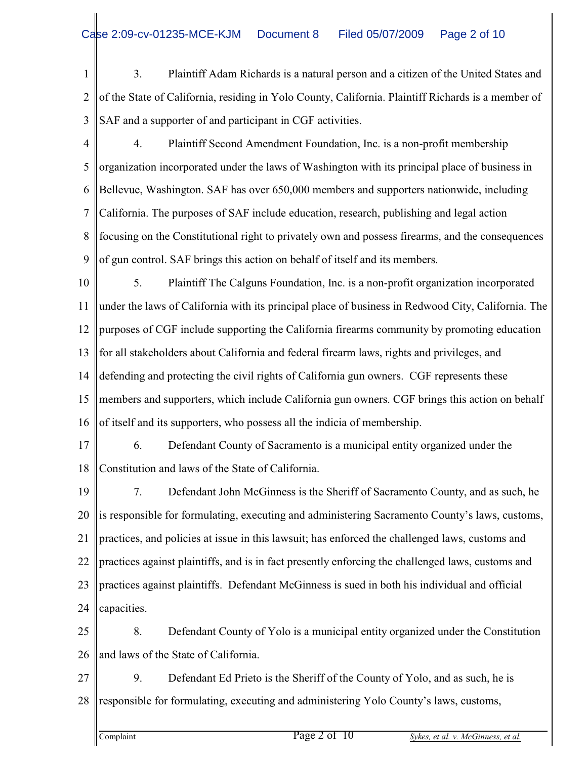1  $\mathfrak{D}$ 3 3. Plaintiff Adam Richards is a natural person and a citizen of the United States and of the State of California, residing in Yolo County, California. Plaintiff Richards is a member of SAF and a supporter of and participant in CGF activities.

- 4 5 6 7 8 9 4. Plaintiff Second Amendment Foundation, Inc. is a non-profit membership organization incorporated under the laws of Washington with its principal place of business in Bellevue, Washington. SAF has over 650,000 members and supporters nationwide, including California. The purposes of SAF include education, research, publishing and legal action focusing on the Constitutional right to privately own and possess firearms, and the consequences of gun control. SAF brings this action on behalf of itself and its members.
- 10 11 12 13 14 15 16 5. Plaintiff The Calguns Foundation, Inc. is a non-profit organization incorporated under the laws of California with its principal place of business in Redwood City, California. The purposes of CGF include supporting the California firearms community by promoting education for all stakeholders about California and federal firearm laws, rights and privileges, and defending and protecting the civil rights of California gun owners. CGF represents these members and supporters, which include California gun owners. CGF brings this action on behalf of itself and its supporters, who possess all the indicia of membership.
- 17 18 6. Defendant County of Sacramento is a municipal entity organized under the Constitution and laws of the State of California.
- 19 20 21 22 23 24 7. Defendant John McGinness is the Sheriff of Sacramento County, and as such, he is responsible for formulating, executing and administering Sacramento County's laws, customs, practices, and policies at issue in this lawsuit; has enforced the challenged laws, customs and practices against plaintiffs, and is in fact presently enforcing the challenged laws, customs and practices against plaintiffs. Defendant McGinness is sued in both his individual and official capacities.
- 25 26 8. Defendant County of Yolo is a municipal entity organized under the Constitution and laws of the State of California.
- 27 28 9. Defendant Ed Prieto is the Sheriff of the County of Yolo, and as such, he is responsible for formulating, executing and administering Yolo County's laws, customs,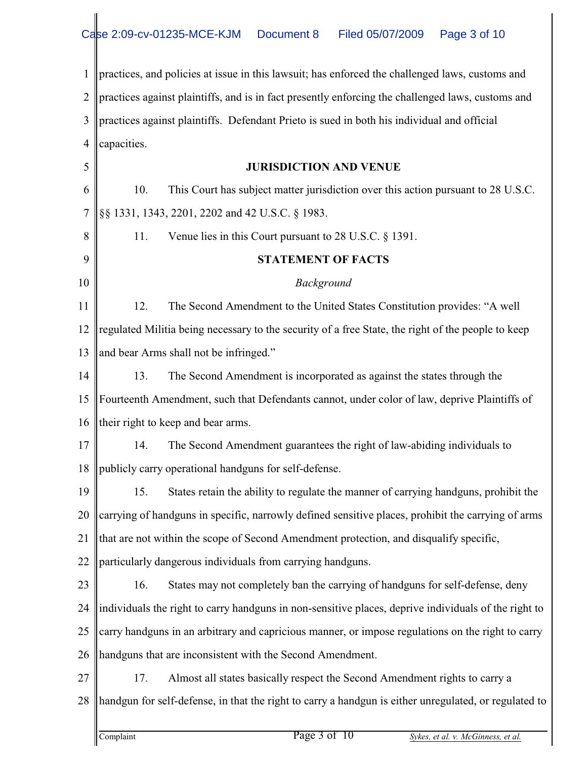1  $\mathfrak{D}$ 3 4 5 6 7 8 practices, and policies at issue in this lawsuit; has enforced the challenged laws, customs and practices against plaintiffs, and is in fact presently enforcing the challenged laws, customs and practices against plaintiffs. Defendant Prieto is sued in both his individual and official capacities. **JURISDICTION AND VENUE** 10. This Court has subject matter jurisdiction over this action pursuant to 28 U.S.C. §§ 1331, 1343, 2201, 2202 and 42 U.S.C. § 1983. 11. Venue lies in this Court pursuant to 28 U.S.C. § 1391.

10 11 12 13 14 15 16 **STATEMENT OF FACTS** *Background* 12. The Second Amendment to the United States Constitution provides: "A well regulated Militia being necessary to the security of a free State, the right of the people to keep and bear Arms shall not be infringed." 13. The Second Amendment is incorporated as against the states through the Fourteenth Amendment, such that Defendants cannot, under color of law, deprive Plaintiffs of their right to keep and bear arms.

17 18 14. The Second Amendment guarantees the right of law-abiding individuals to publicly carry operational handguns for self-defense.

19 20 21 15. States retain the ability to regulate the manner of carrying handguns, prohibit the carrying of handguns in specific, narrowly defined sensitive places, prohibit the carrying of arms that are not within the scope of Second Amendment protection, and disqualify specific,

22 particularly dangerous individuals from carrying handguns.

23 24 25 26 16. States may not completely ban the carrying of handguns for self-defense, deny individuals the right to carry handguns in non-sensitive places, deprive individuals of the right to carry handguns in an arbitrary and capricious manner, or impose regulations on the right to carry handguns that are inconsistent with the Second Amendment.

27 28 17. Almost all states basically respect the Second Amendment rights to carry a handgun for self-defense, in that the right to carry a handgun is either unregulated, or regulated to

9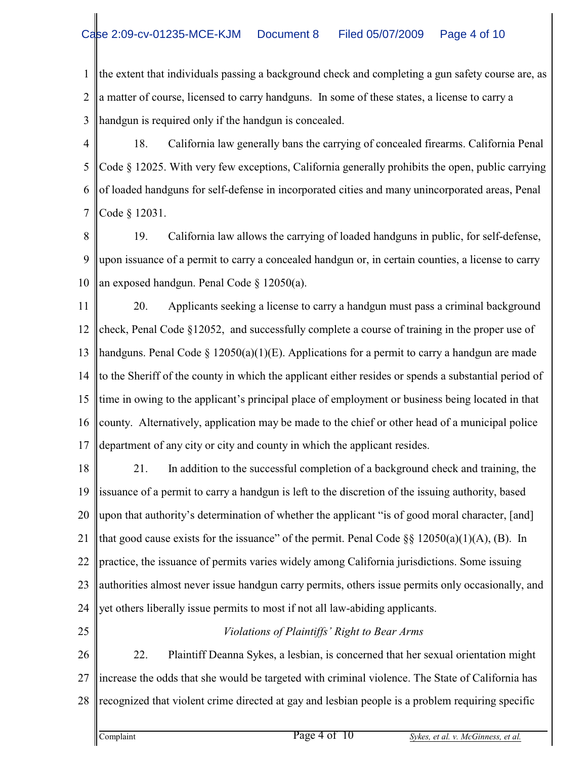1  $\mathfrak{D}$ 3 the extent that individuals passing a background check and completing a gun safety course are, as a matter of course, licensed to carry handguns. In some of these states, a license to carry a handgun is required only if the handgun is concealed.

4 5 6 7 18. California law generally bans the carrying of concealed firearms. California Penal Code § 12025. With very few exceptions, California generally prohibits the open, public carrying of loaded handguns for self-defense in incorporated cities and many unincorporated areas, Penal Code § 12031.

8 9 10 19. California law allows the carrying of loaded handguns in public, for self-defense, upon issuance of a permit to carry a concealed handgun or, in certain counties, a license to carry an exposed handgun. Penal Code § 12050(a).

11 12 13 14 15 16 17 20. Applicants seeking a license to carry a handgun must pass a criminal background check, Penal Code §12052, and successfully complete a course of training in the proper use of handguns. Penal Code § 12050(a)(1)(E). Applications for a permit to carry a handgun are made to the Sheriff of the county in which the applicant either resides or spends a substantial period of time in owing to the applicant's principal place of employment or business being located in that county. Alternatively, application may be made to the chief or other head of a municipal police department of any city or city and county in which the applicant resides.

18 19 20 21 22 23 24 21. In addition to the successful completion of a background check and training, the issuance of a permit to carry a handgun is left to the discretion of the issuing authority, based upon that authority's determination of whether the applicant "is of good moral character, [and] that good cause exists for the issuance" of the permit. Penal Code  $\S$ § 12050(a)(1)(A), (B). In practice, the issuance of permits varies widely among California jurisdictions. Some issuing authorities almost never issue handgun carry permits, others issue permits only occasionally, and yet others liberally issue permits to most if not all law-abiding applicants.

25

## *Violations of Plaintiffs' Right to Bear Arms*

26 27 28 22. Plaintiff Deanna Sykes, a lesbian, is concerned that her sexual orientation might increase the odds that she would be targeted with criminal violence. The State of California has recognized that violent crime directed at gay and lesbian people is a problem requiring specific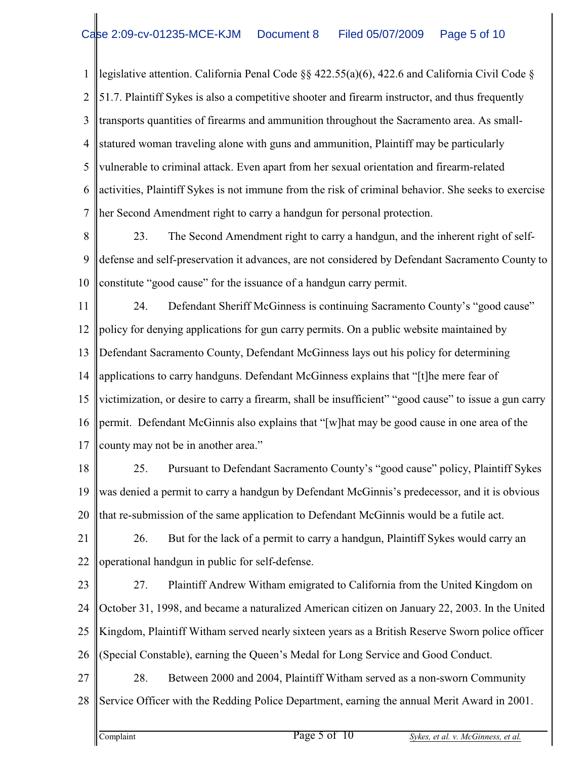1  $\mathfrak{D}$ 3 4 5 6 7 legislative attention. California Penal Code §§ 422.55(a)(6), 422.6 and California Civil Code § 51.7. Plaintiff Sykes is also a competitive shooter and firearm instructor, and thus frequently transports quantities of firearms and ammunition throughout the Sacramento area. As smallstatured woman traveling alone with guns and ammunition, Plaintiff may be particularly vulnerable to criminal attack. Even apart from her sexual orientation and firearm-related activities, Plaintiff Sykes is not immune from the risk of criminal behavior. She seeks to exercise her Second Amendment right to carry a handgun for personal protection.

8 9 10 23. The Second Amendment right to carry a handgun, and the inherent right of selfdefense and self-preservation it advances, are not considered by Defendant Sacramento County to constitute "good cause" for the issuance of a handgun carry permit.

11 12 13 14 15 16 17 24. Defendant Sheriff McGinness is continuing Sacramento County's "good cause" policy for denying applications for gun carry permits. On a public website maintained by Defendant Sacramento County, Defendant McGinness lays out his policy for determining applications to carry handguns. Defendant McGinness explains that "[t]he mere fear of victimization, or desire to carry a firearm, shall be insufficient" "good cause" to issue a gun carry permit. Defendant McGinnis also explains that "[w]hat may be good cause in one area of the county may not be in another area."

18 19 20 25. Pursuant to Defendant Sacramento County's "good cause" policy, Plaintiff Sykes was denied a permit to carry a handgun by Defendant McGinnis's predecessor, and it is obvious that re-submission of the same application to Defendant McGinnis would be a futile act.

21 22 26. But for the lack of a permit to carry a handgun, Plaintiff Sykes would carry an operational handgun in public for self-defense.

23 24 25 26 27. Plaintiff Andrew Witham emigrated to California from the United Kingdom on October 31, 1998, and became a naturalized American citizen on January 22, 2003. In the United Kingdom, Plaintiff Witham served nearly sixteen years as a British Reserve Sworn police officer (Special Constable), earning the Queen's Medal for Long Service and Good Conduct.

27 28 28. Between 2000 and 2004, Plaintiff Witham served as a non-sworn Community Service Officer with the Redding Police Department, earning the annual Merit Award in 2001.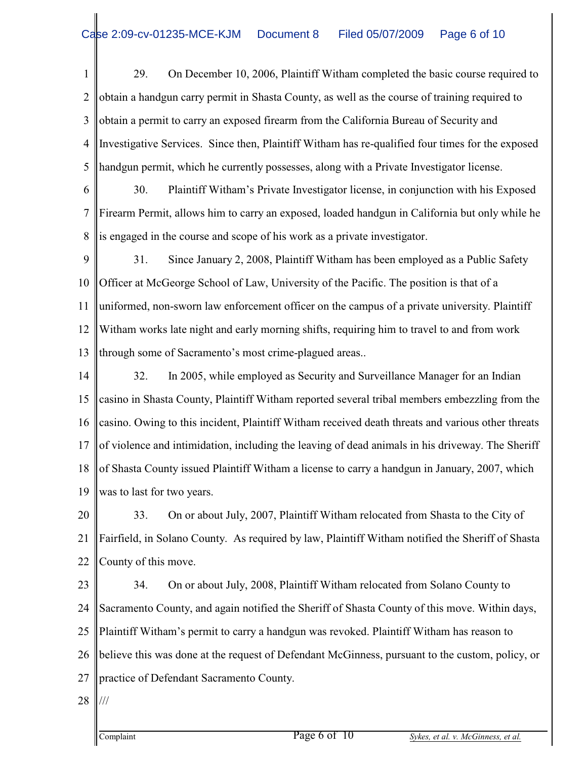1  $\mathfrak{D}$ 3 4 5 29. On December 10, 2006, Plaintiff Witham completed the basic course required to obtain a handgun carry permit in Shasta County, as well as the course of training required to obtain a permit to carry an exposed firearm from the California Bureau of Security and Investigative Services. Since then, Plaintiff Witham has re-qualified four times for the exposed handgun permit, which he currently possesses, along with a Private Investigator license.

6 7 8 30. Plaintiff Witham's Private Investigator license, in conjunction with his Exposed Firearm Permit, allows him to carry an exposed, loaded handgun in California but only while he is engaged in the course and scope of his work as a private investigator.

9 10 11 12 13 31. Since January 2, 2008, Plaintiff Witham has been employed as a Public Safety Officer at McGeorge School of Law, University of the Pacific. The position is that of a uniformed, non-sworn law enforcement officer on the campus of a private university. Plaintiff Witham works late night and early morning shifts, requiring him to travel to and from work through some of Sacramento's most crime-plagued areas..

14 15 16 17 18 19 32. In 2005, while employed as Security and Surveillance Manager for an Indian casino in Shasta County, Plaintiff Witham reported several tribal members embezzling from the casino. Owing to this incident, Plaintiff Witham received death threats and various other threats of violence and intimidation, including the leaving of dead animals in his driveway. The Sheriff of Shasta County issued Plaintiff Witham a license to carry a handgun in January, 2007, which was to last for two years.

20 21 22 33. On or about July, 2007, Plaintiff Witham relocated from Shasta to the City of Fairfield, in Solano County. As required by law, Plaintiff Witham notified the Sheriff of Shasta County of this move.

23 24 25 26 27 34. On or about July, 2008, Plaintiff Witham relocated from Solano County to Sacramento County, and again notified the Sheriff of Shasta County of this move. Within days, Plaintiff Witham's permit to carry a handgun was revoked. Plaintiff Witham has reason to believe this was done at the request of Defendant McGinness, pursuant to the custom, policy, or practice of Defendant Sacramento County.

28 ///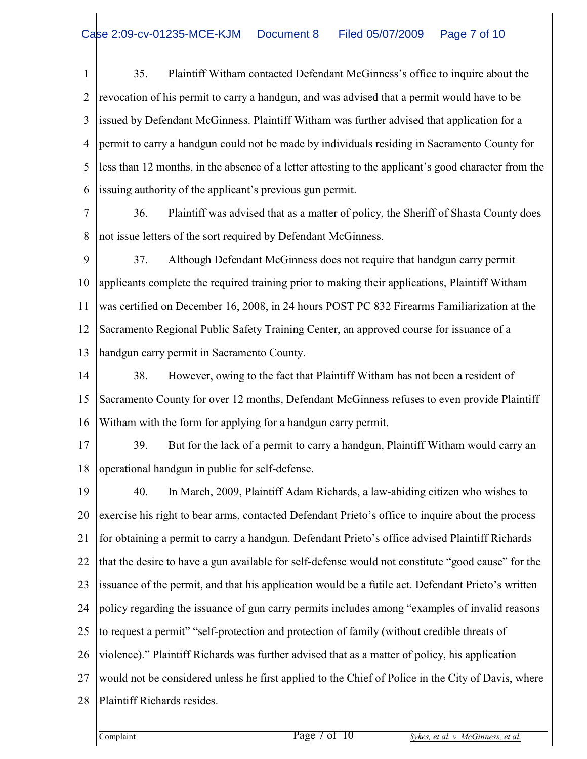1  $\mathfrak{D}$ 3 4 5 6 35. Plaintiff Witham contacted Defendant McGinness's office to inquire about the revocation of his permit to carry a handgun, and was advised that a permit would have to be issued by Defendant McGinness. Plaintiff Witham was further advised that application for a permit to carry a handgun could not be made by individuals residing in Sacramento County for less than 12 months, in the absence of a letter attesting to the applicant's good character from the issuing authority of the applicant's previous gun permit.

7 8 36. Plaintiff was advised that as a matter of policy, the Sheriff of Shasta County does not issue letters of the sort required by Defendant McGinness.

9 10 11 12 13 37. Although Defendant McGinness does not require that handgun carry permit applicants complete the required training prior to making their applications, Plaintiff Witham was certified on December 16, 2008, in 24 hours POST PC 832 Firearms Familiarization at the Sacramento Regional Public Safety Training Center, an approved course for issuance of a handgun carry permit in Sacramento County.

14 15 16 38. However, owing to the fact that Plaintiff Witham has not been a resident of Sacramento County for over 12 months, Defendant McGinness refuses to even provide Plaintiff Witham with the form for applying for a handgun carry permit.

17 18 39. But for the lack of a permit to carry a handgun, Plaintiff Witham would carry an operational handgun in public for self-defense.

19 20 21 22 23 24 25 26 27 28 40. In March, 2009, Plaintiff Adam Richards, a law-abiding citizen who wishes to exercise his right to bear arms, contacted Defendant Prieto's office to inquire about the process for obtaining a permit to carry a handgun. Defendant Prieto's office advised Plaintiff Richards that the desire to have a gun available for self-defense would not constitute "good cause" for the issuance of the permit, and that his application would be a futile act. Defendant Prieto's written policy regarding the issuance of gun carry permits includes among "examples of invalid reasons to request a permit" "self-protection and protection of family (without credible threats of violence)." Plaintiff Richards was further advised that as a matter of policy, his application would not be considered unless he first applied to the Chief of Police in the City of Davis, where Plaintiff Richards resides.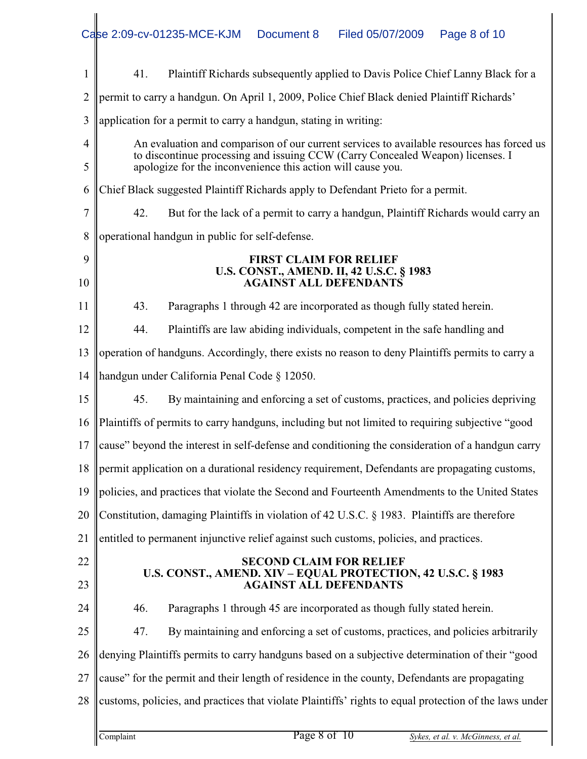| 1              | Plaintiff Richards subsequently applied to Davis Police Chief Lanny Black for a<br>41.                                                        |  |  |  |
|----------------|-----------------------------------------------------------------------------------------------------------------------------------------------|--|--|--|
| $\overline{2}$ | permit to carry a handgun. On April 1, 2009, Police Chief Black denied Plaintiff Richards'                                                    |  |  |  |
| 3              | application for a permit to carry a handgun, stating in writing:                                                                              |  |  |  |
| 4              | An evaluation and comparison of our current services to available resources has forced us                                                     |  |  |  |
| 5              | to discontinue processing and issuing CCW (Carry Concealed Weapon) licenses. I<br>apologize for the inconvenience this action will cause you. |  |  |  |
| 6              | Chief Black suggested Plaintiff Richards apply to Defendant Prieto for a permit.                                                              |  |  |  |
| 7              | 42.<br>But for the lack of a permit to carry a handgun, Plaintiff Richards would carry an                                                     |  |  |  |
| 8              | operational handgun in public for self-defense.                                                                                               |  |  |  |
| 9              | <b>FIRST CLAIM FOR RELIEF</b><br>U.S. CONST., AMEND. II, 42 U.S.C. § 1983                                                                     |  |  |  |
| 10             | <b>AGAINST ALL DEFENDANTS</b>                                                                                                                 |  |  |  |
| 11             | 43.<br>Paragraphs 1 through 42 are incorporated as though fully stated herein.                                                                |  |  |  |
| 12             | 44.<br>Plaintiffs are law abiding individuals, competent in the safe handling and                                                             |  |  |  |
| 13             | operation of handguns. Accordingly, there exists no reason to deny Plaintiffs permits to carry a                                              |  |  |  |
| 14             | handgun under California Penal Code § 12050.                                                                                                  |  |  |  |
| 15             | 45.<br>By maintaining and enforcing a set of customs, practices, and policies depriving                                                       |  |  |  |
| 16             | Plaintiffs of permits to carry handguns, including but not limited to requiring subjective "good                                              |  |  |  |
| 17             | cause" beyond the interest in self-defense and conditioning the consideration of a handgun carry                                              |  |  |  |
| 18             | permit application on a durational residency requirement, Defendants are propagating customs,                                                 |  |  |  |
| 19             | policies, and practices that violate the Second and Fourteenth Amendments to the United States                                                |  |  |  |
| 20             | Constitution, damaging Plaintiffs in violation of 42 U.S.C. § 1983. Plaintiffs are therefore                                                  |  |  |  |
| 21             | entitled to permanent injunctive relief against such customs, policies, and practices.                                                        |  |  |  |
| 22             | <b>SECOND CLAIM FOR RELIEF</b>                                                                                                                |  |  |  |
| 23             | U.S. CONST., AMEND. XIV – EQUAL PROTECTION, 42 U.S.C. § 1983<br><b>AGAINST ALL DEFENDANTS</b>                                                 |  |  |  |
| 24             | Paragraphs 1 through 45 are incorporated as though fully stated herein.<br>46.                                                                |  |  |  |
| 25             | By maintaining and enforcing a set of customs, practices, and policies arbitrarily<br>47.                                                     |  |  |  |
| 26             | denying Plaintiffs permits to carry handguns based on a subjective determination of their "good                                               |  |  |  |
| 27             | cause" for the permit and their length of residence in the county, Defendants are propagating                                                 |  |  |  |
| 28             | customs, policies, and practices that violate Plaintiffs' rights to equal protection of the laws under                                        |  |  |  |
|                | Page 8 of 10<br>Complaint<br>Sykes, et al. v. McGinness, et al.                                                                               |  |  |  |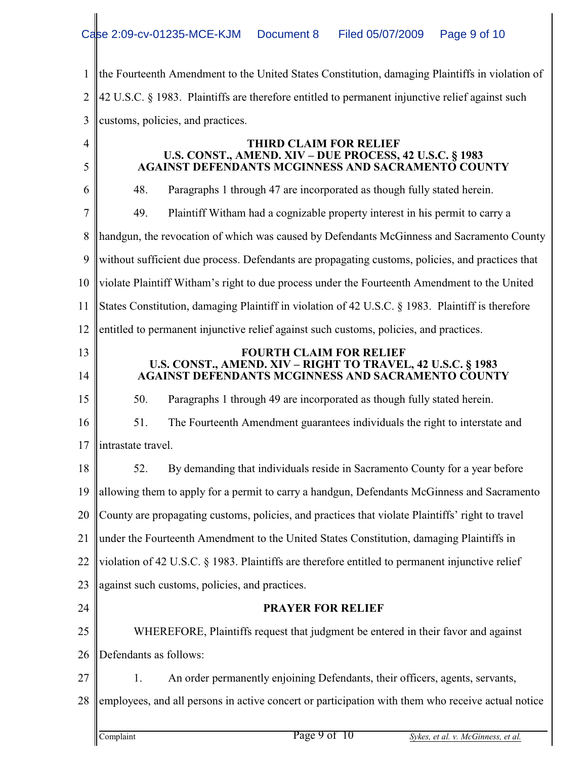1 2 3 the Fourteenth Amendment to the United States Constitution, damaging Plaintiffs in violation of 42 U.S.C. § 1983. Plaintiffs are therefore entitled to permanent injunctive relief against such customs, policies, and practices.

4

5

## **THIRD CLAIM FOR RELIEF U.S. CONST., AMEND. XIV – DUE PROCESS, 42 U.S.C. § 1983 AGAINST DEFENDANTS MCGINNESS AND SACRAMENTO COUNTY**

| 6              | 48.                    | Paragraphs 1 through 47 are incorporated as though fully stated herein.                                           |  |
|----------------|------------------------|-------------------------------------------------------------------------------------------------------------------|--|
| $\overline{7}$ | 49.                    | Plaintiff Witham had a cognizable property interest in his permit to carry a                                      |  |
| 8              |                        | handgun, the revocation of which was caused by Defendants McGinness and Sacramento County                         |  |
| 9              |                        | without sufficient due process. Defendants are propagating customs, policies, and practices that                  |  |
| 10             |                        | violate Plaintiff Witham's right to due process under the Fourteenth Amendment to the United                      |  |
| 11             |                        | States Constitution, damaging Plaintiff in violation of 42 U.S.C. § 1983. Plaintiff is therefore                  |  |
| 12             |                        | entitled to permanent injunctive relief against such customs, policies, and practices.                            |  |
| 13             |                        | <b>FOURTH CLAIM FOR RELIEF</b>                                                                                    |  |
| 14             |                        | U.S. CONST., AMEND. XIV – RIGHT TO TRAVEL, 42 U.S.C. § 1983<br>AGAINST DEFENDANTS MCGINNESS AND SACRAMENTO COUNTY |  |
| 15             | 50.                    | Paragraphs 1 through 49 are incorporated as though fully stated herein.                                           |  |
| 16             | 51.                    | The Fourteenth Amendment guarantees individuals the right to interstate and                                       |  |
| 17             | intrastate travel.     |                                                                                                                   |  |
| 18             | 52.                    | By demanding that individuals reside in Sacramento County for a year before                                       |  |
| 19             |                        | allowing them to apply for a permit to carry a handgun, Defendants McGinness and Sacramento                       |  |
| 20             |                        | County are propagating customs, policies, and practices that violate Plaintiffs' right to travel                  |  |
| 21             |                        | under the Fourteenth Amendment to the United States Constitution, damaging Plaintiffs in                          |  |
| 22             |                        | violation of 42 U.S.C. § 1983. Plaintiffs are therefore entitled to permanent injunctive relief                   |  |
| 23             |                        | against such customs, policies, and practices.                                                                    |  |
| 24             |                        | <b>PRAYER FOR RELIEF</b>                                                                                          |  |
| 25             |                        | WHEREFORE, Plaintiffs request that judgment be entered in their favor and against                                 |  |
| 26             | Defendants as follows: |                                                                                                                   |  |
| 27             | 1.                     | An order permanently enjoining Defendants, their officers, agents, servants,                                      |  |
| 28             |                        | employees, and all persons in active concert or participation with them who receive actual notice                 |  |
|                |                        |                                                                                                                   |  |